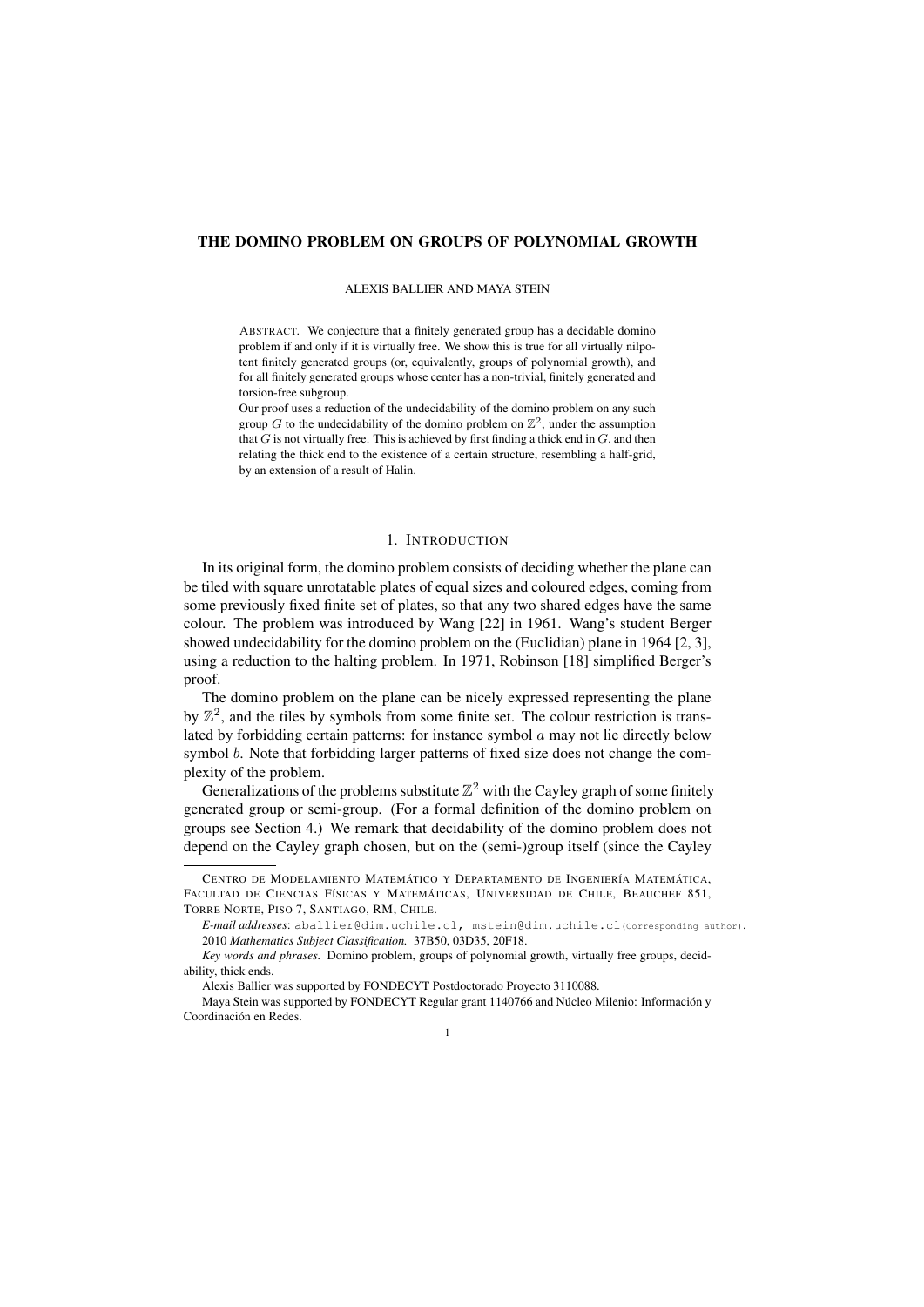# THE DOMINO PROBLEM ON GROUPS OF POLYNOMIAL GROWTH

## ALEXIS BALLIER AND MAYA STEIN

ABSTRACT. We conjecture that a finitely generated group has a decidable domino problem if and only if it is virtually free. We show this is true for all virtually nilpotent finitely generated groups (or, equivalently, groups of polynomial growth), and for all finitely generated groups whose center has a non-trivial, finitely generated and torsion-free subgroup.

Our proof uses a reduction of the undecidability of the domino problem on any such group  $G$  to the undecidability of the domino problem on  $\mathbb{Z}^2$ , under the assumption that *G* is not virtually free. This is achieved by first finding a thick end in *G*, and then relating the thick end to the existence of a certain structure, resembling a half-grid, by an extension of a result of Halin.

# 1. INTRODUCTION

In its original form, the domino problem consists of deciding whether the plane can be tiled with square unrotatable plates of equal sizes and coloured edges, coming from some previously fixed finite set of plates, so that any two shared edges have the same colour. The problem was introduced by Wang [22] in 1961. Wang's student Berger showed undecidability for the domino problem on the (Euclidian) plane in 1964 [2, 3], using a reduction to the halting problem. In 1971, Robinson [18] simplified Berger's proof.

The domino problem on the plane can be nicely expressed representing the plane by  $\mathbb{Z}^2$ , and the tiles by symbols from some finite set. The colour restriction is translated by forbidding certain patterns: for instance symbol *a* may not lie directly below symbol *b*. Note that forbidding larger patterns of fixed size does not change the complexity of the problem.

Generalizations of the problems substitute  $\mathbb{Z}^2$  with the Cayley graph of some finitely generated group or semi-group. (For a formal definition of the domino problem on groups see Section 4.) We remark that decidability of the domino problem does not depend on the Cayley graph chosen, but on the (semi-)group itself (since the Cayley

1

CENTRO DE MODELAMIENTO MATEMÁTICO Y DEPARTAMENTO DE INGENIERÍA MATEMÁTICA, FACULTAD DE CIENCIAS FÍSICAS Y MATEMÁTICAS, UNIVERSIDAD DE CHILE, BEAUCHEF 851, TORRE NORTE, PISO 7, SANTIAGO, RM, CHILE.

*E-mail addresses*: aballier@dim.uchile.cl, mstein@dim.uchile.cl(Corresponding author). 2010 *Mathematics Subject Classification.* 37B50, 03D35, 20F18.

*Key words and phrases.* Domino problem, groups of polynomial growth, virtually free groups, decidability, thick ends.

Alexis Ballier was supported by FONDECYT Postdoctorado Proyecto 3110088.

Maya Stein was supported by FONDECYT Regular grant 1140766 and Núcleo Milenio: Información y Coordinación en Redes.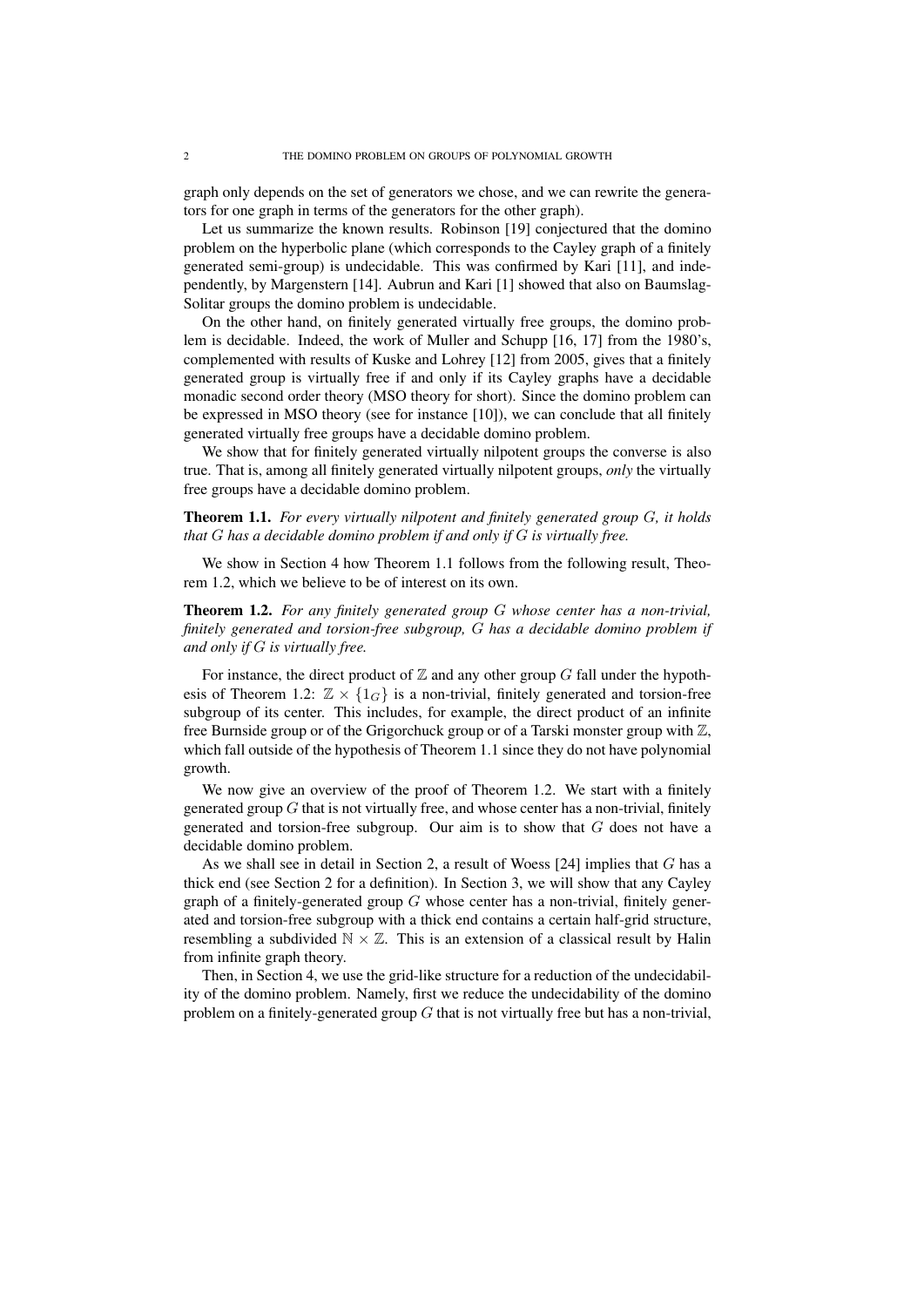graph only depends on the set of generators we chose, and we can rewrite the generators for one graph in terms of the generators for the other graph).

Let us summarize the known results. Robinson [19] conjectured that the domino problem on the hyperbolic plane (which corresponds to the Cayley graph of a finitely generated semi-group) is undecidable. This was confirmed by Kari [11], and independently, by Margenstern [14]. Aubrun and Kari [1] showed that also on Baumslag-Solitar groups the domino problem is undecidable.

On the other hand, on finitely generated virtually free groups, the domino problem is decidable. Indeed, the work of Muller and Schupp [16, 17] from the 1980's, complemented with results of Kuske and Lohrey [12] from 2005, gives that a finitely generated group is virtually free if and only if its Cayley graphs have a decidable monadic second order theory (MSO theory for short). Since the domino problem can be expressed in MSO theory (see for instance [10]), we can conclude that all finitely generated virtually free groups have a decidable domino problem.

We show that for finitely generated virtually nilpotent groups the converse is also true. That is, among all finitely generated virtually nilpotent groups, *only* the virtually free groups have a decidable domino problem.

Theorem 1.1. *For every virtually nilpotent and finitely generated group G, it holds that G has a decidable domino problem if and only if G is virtually free.*

We show in Section 4 how Theorem 1.1 follows from the following result, Theorem 1.2, which we believe to be of interest on its own.

Theorem 1.2. *For any finitely generated group G whose center has a non-trivial, finitely generated and torsion-free subgroup, G has a decidable domino problem if and only if G is virtually free.*

For instance, the direct product of  $Z$  and any other group  $G$  fall under the hypothesis of Theorem 1.2:  $\mathbb{Z} \times \{1_G\}$  is a non-trivial, finitely generated and torsion-free subgroup of its center. This includes, for example, the direct product of an infinite free Burnside group or of the Grigorchuck group or of a Tarski monster group with  $\mathbb{Z}$ , which fall outside of the hypothesis of Theorem 1.1 since they do not have polynomial growth.

We now give an overview of the proof of Theorem 1.2. We start with a finitely generated group *G* that is not virtually free, and whose center has a non-trivial, finitely generated and torsion-free subgroup. Our aim is to show that *G* does not have a decidable domino problem.

As we shall see in detail in Section 2, a result of Woess [24] implies that *G* has a thick end (see Section 2 for a definition). In Section 3, we will show that any Cayley graph of a finitely-generated group *G* whose center has a non-trivial, finitely generated and torsion-free subgroup with a thick end contains a certain half-grid structure, resembling a subdivided  $\mathbb{N} \times \mathbb{Z}$ . This is an extension of a classical result by Halin from infinite graph theory.

Then, in Section 4, we use the grid-like structure for a reduction of the undecidability of the domino problem. Namely, first we reduce the undecidability of the domino problem on a finitely-generated group *G* that is not virtually free but has a non-trivial,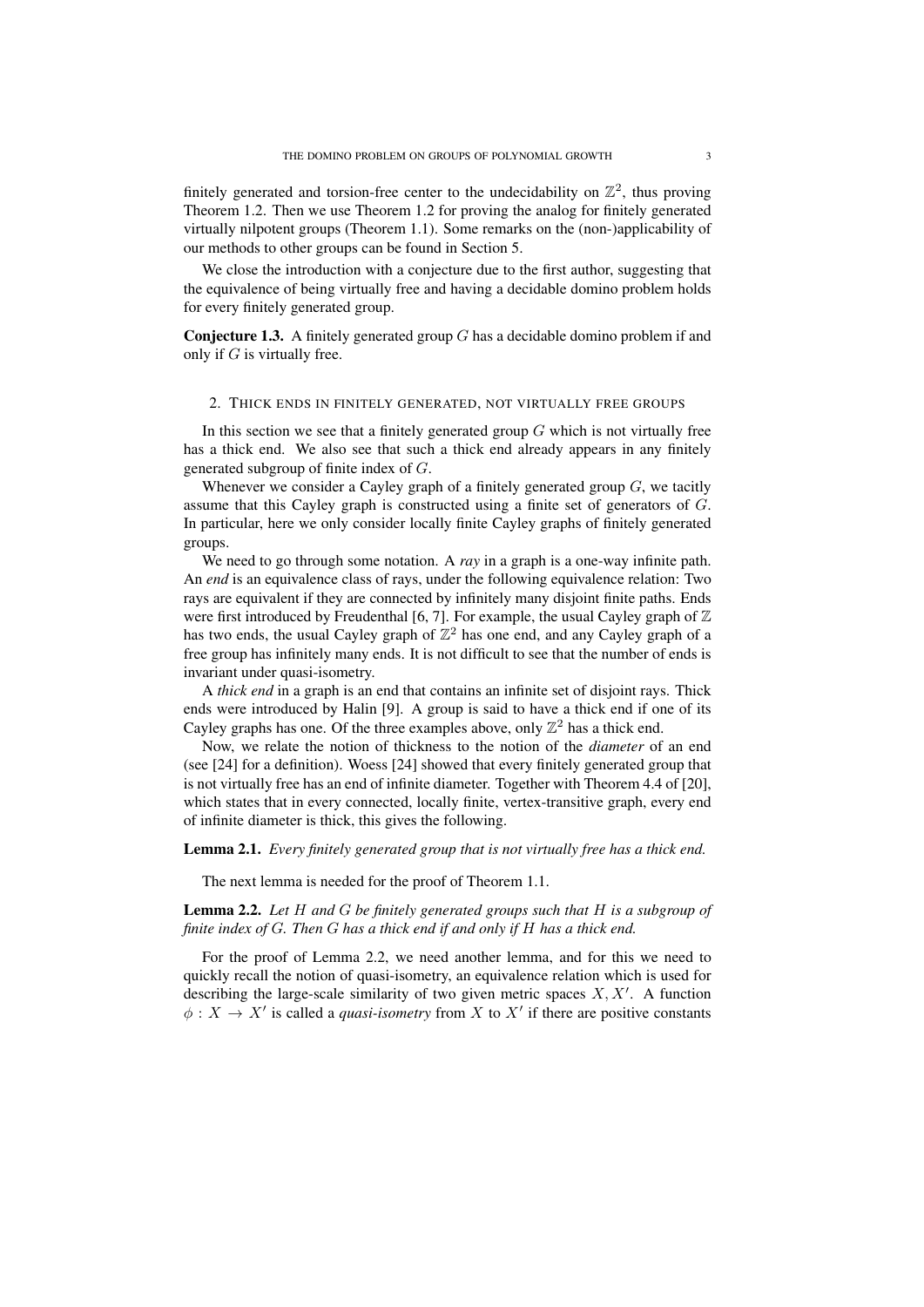finitely generated and torsion-free center to the undecidability on  $\mathbb{Z}^2$ , thus proving Theorem 1.2. Then we use Theorem 1.2 for proving the analog for finitely generated virtually nilpotent groups (Theorem 1.1). Some remarks on the (non-)applicability of our methods to other groups can be found in Section 5.

We close the introduction with a conjecture due to the first author, suggesting that the equivalence of being virtually free and having a decidable domino problem holds for every finitely generated group.

Conjecture 1.3. A finitely generated group *G* has a decidable domino problem if and only if *G* is virtually free.

### 2. THICK ENDS IN FINITELY GENERATED, NOT VIRTUALLY FREE GROUPS

In this section we see that a finitely generated group  $G$  which is not virtually free has a thick end. We also see that such a thick end already appears in any finitely generated subgroup of finite index of *G*.

Whenever we consider a Cayley graph of a finitely generated group *G*, we tacitly assume that this Cayley graph is constructed using a finite set of generators of *G*. In particular, here we only consider locally finite Cayley graphs of finitely generated groups.

We need to go through some notation. A *ray* in a graph is a one-way infinite path. An *end* is an equivalence class of rays, under the following equivalence relation: Two rays are equivalent if they are connected by infinitely many disjoint finite paths. Ends were first introduced by Freudenthal [6, 7]. For example, the usual Cayley graph of  $\mathbb Z$ has two ends, the usual Cayley graph of  $\mathbb{Z}^2$  has one end, and any Cayley graph of a free group has infinitely many ends. It is not difficult to see that the number of ends is invariant under quasi-isometry.

A *thick end* in a graph is an end that contains an infinite set of disjoint rays. Thick ends were introduced by Halin [9]. A group is said to have a thick end if one of its Cayley graphs has one. Of the three examples above, only  $\mathbb{Z}^2$  has a thick end.

Now, we relate the notion of thickness to the notion of the *diameter* of an end (see [24] for a definition). Woess [24] showed that every finitely generated group that is not virtually free has an end of infinite diameter. Together with Theorem 4.4 of [20], which states that in every connected, locally finite, vertex-transitive graph, every end of infinite diameter is thick, this gives the following.

## Lemma 2.1. *Every finitely generated group that is not virtually free has a thick end.*

The next lemma is needed for the proof of Theorem 1.1.

Lemma 2.2. *Let H and G be finitely generated groups such that H is a subgroup of finite index of G. Then G has a thick end if and only if H has a thick end.*

For the proof of Lemma 2.2, we need another lemma, and for this we need to quickly recall the notion of quasi-isometry, an equivalence relation which is used for describing the large-scale similarity of two given metric spaces *X, X′* . A function  $\phi: X \to X'$  is called a *quasi-isometry* from X to X' if there are positive constants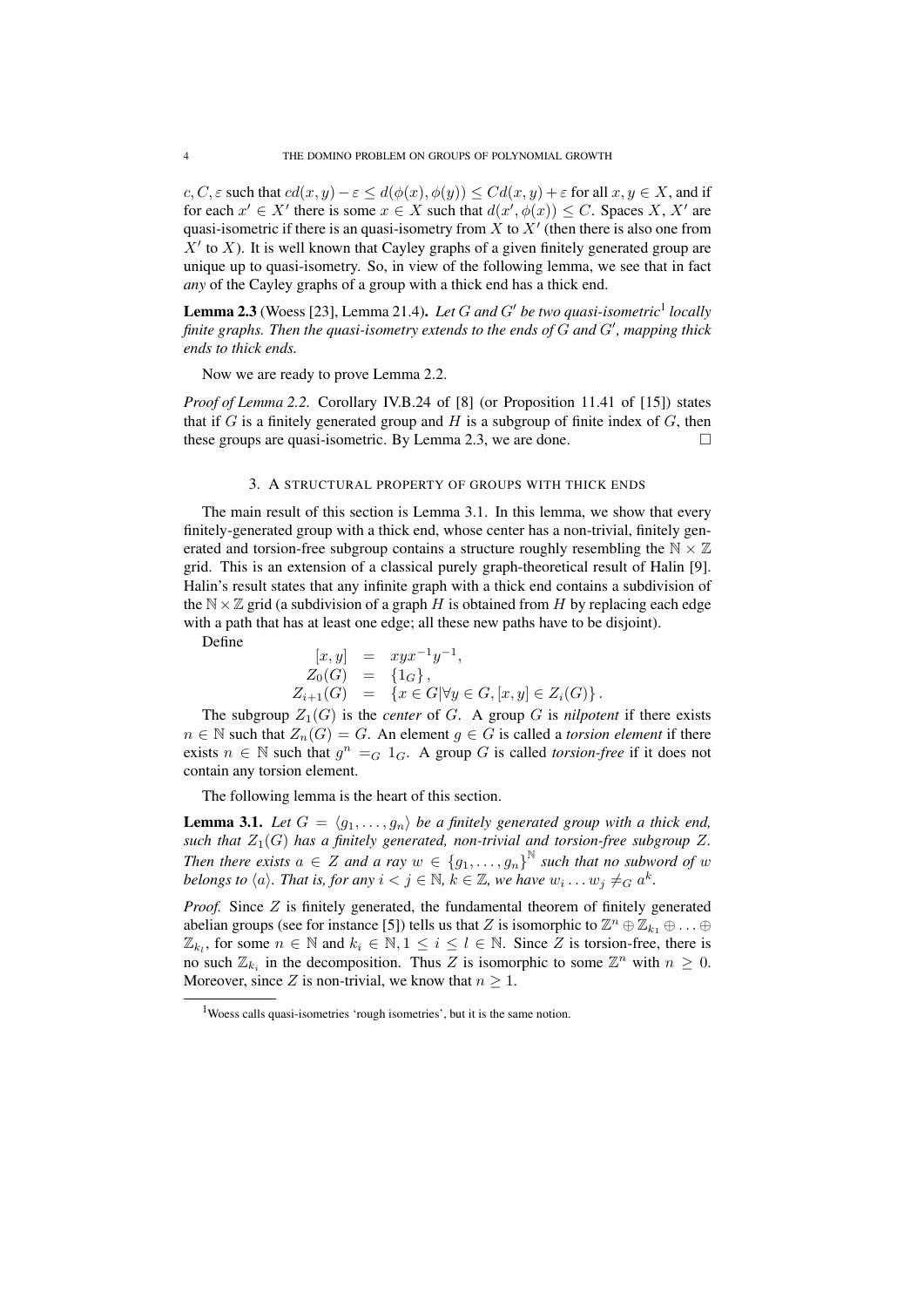$c, C, \varepsilon$  such that  $cd(x, y) - \varepsilon \leq d(\phi(x), \phi(y)) \leq C d(x, y) + \varepsilon$  for all  $x, y \in X$ , and if for each  $x' \in X'$  there is some  $x \in X$  such that  $d(x', \phi(x)) \leq C$ . Spaces X, X' are quasi-isometric if there is an quasi-isometry from *X* to *X′* (then there is also one from *X′* to *X*). It is well known that Cayley graphs of a given finitely generated group are unique up to quasi-isometry. So, in view of the following lemma, we see that in fact *any* of the Cayley graphs of a group with a thick end has a thick end.

Lemma 2.3 (Woess [23], Lemma 21.4). *Let G and G′ be two quasi-isometric*<sup>1</sup> *locally finite graphs. Then the quasi-isometry extends to the ends of G and G′ , mapping thick ends to thick ends.*

Now we are ready to prove Lemma 2.2.

*Proof of Lemma 2.2.* Corollary IV.B.24 of [8] (or Proposition 11.41 of [15]) states that if  $G$  is a finitely generated group and  $H$  is a subgroup of finite index of  $G$ , then these groups are quasi-isometric. By Lemma 2.3, we are done.  $□$ 

### 3. A STRUCTURAL PROPERTY OF GROUPS WITH THICK ENDS

The main result of this section is Lemma 3.1. In this lemma, we show that every finitely-generated group with a thick end, whose center has a non-trivial, finitely generated and torsion-free subgroup contains a structure roughly resembling the  $\mathbb{N} \times \mathbb{Z}$ grid. This is an extension of a classical purely graph-theoretical result of Halin [9]. Halin's result states that any infinite graph with a thick end contains a subdivision of the  $N \times \mathbb{Z}$  grid (a subdivision of a graph *H* is obtained from *H* by replacing each edge with a path that has at least one edge; all these new paths have to be disjoint).

Define

$$
\begin{array}{rcl}\n[x, y] & = & xyx^{-1}y^{-1}, \\
Z_0(G) & = & \{1_G\}, \\
Z_{i+1}(G) & = & \{x \in G | \forall y \in G, [x, y] \in Z_i(G)\}.\n\end{array}
$$

The subgroup  $Z_1(G)$  is the *center* of *G*. A group *G* is *nilpotent* if there exists *n* ∈ N such that  $Z_n(G) = G$ . An element *g* ∈ *G* is called a *torsion element* if there exists  $n \in \mathbb{N}$  such that  $g^n = G \cdot 1_G$ . A group *G* is called *torsion-free* if it does not contain any torsion element.

The following lemma is the heart of this section.

**Lemma 3.1.** Let  $G = \langle g_1, \ldots, g_n \rangle$  be a finitely generated group with a thick end, *such that*  $Z_1(G)$  *has a finitely generated, non-trivial and torsion-free subgroup*  $Z$ *. Then there exists*  $a \in Z$  *and a ray*  $w \in \{g_1, \ldots, g_n\}^{\mathbb{N}}$  such that no subword of  $w$ *belongs to*  $\langle a \rangle$ *. That is, for any*  $i < j \in \mathbb{N}$ *,*  $k \in \mathbb{Z}$ *, we have*  $w_i \dots w_j \neq_G a^k$ *.* 

*Proof.* Since *Z* is finitely generated, the fundamental theorem of finitely generated abelian groups (see for instance [5]) tells us that *Z* is isomorphic to  $\mathbb{Z}^n \oplus \mathbb{Z}_{k_1} \oplus \ldots \oplus$  $\mathbb{Z}_{k_l}$ , for some  $n \in \mathbb{N}$  and  $k_i \in \mathbb{N}, 1 \leq i \leq l \in \mathbb{N}$ . Since *Z* is torsion-free, there is no such  $\mathbb{Z}_{k_i}$  in the decomposition. Thus *Z* is isomorphic to some  $\mathbb{Z}^n$  with  $n \geq 0$ . Moreover, since *Z* is non-trivial, we know that  $n \geq 1$ .

<sup>&</sup>lt;sup>1</sup>Woess calls quasi-isometries 'rough isometries', but it is the same notion.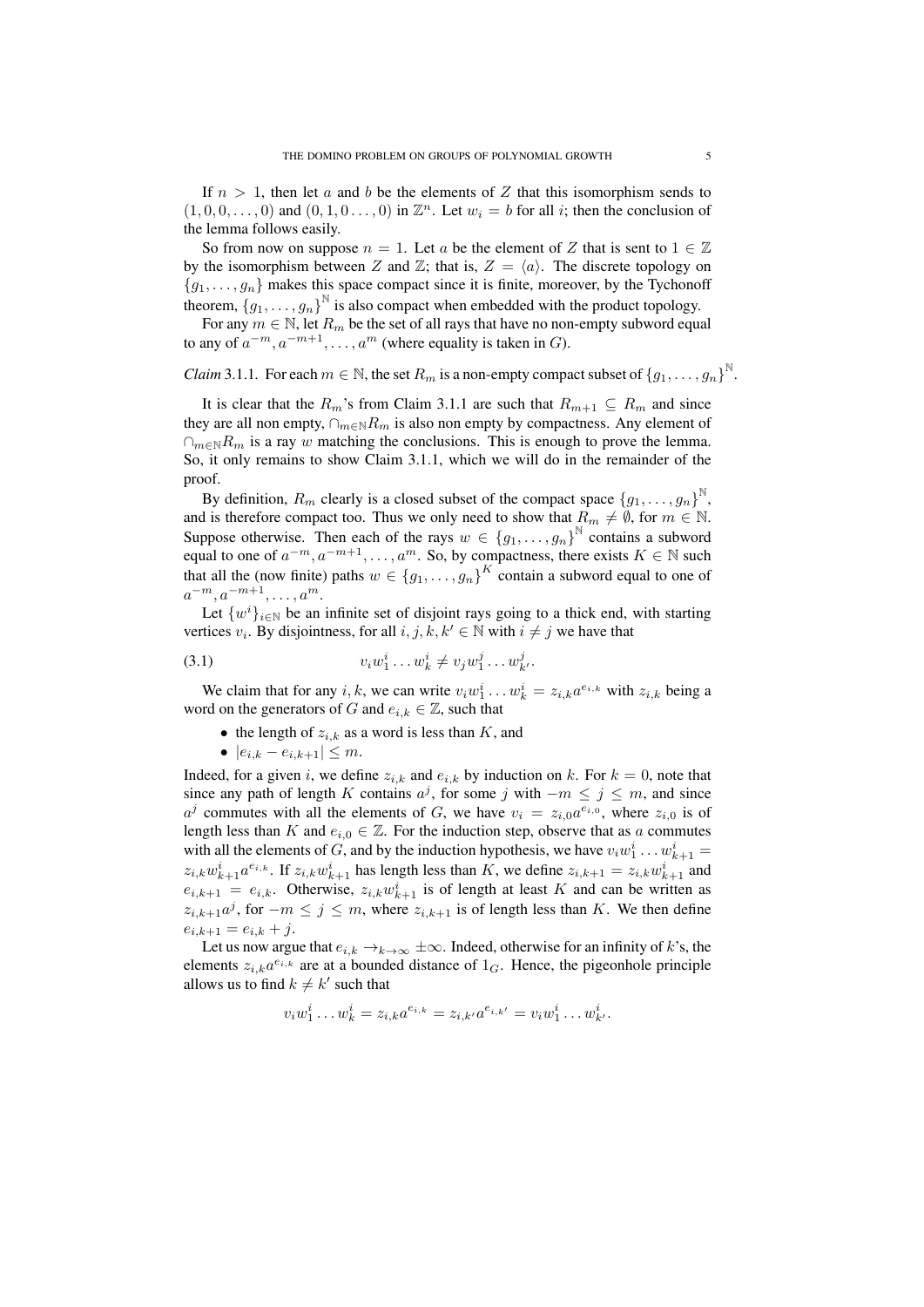If  $n > 1$ , then let a and b be the elements of Z that this isomorphism sends to  $(1,0,0,\ldots,0)$  and  $(0,1,0\ldots,0)$  in  $\mathbb{Z}^n$ . Let  $w_i = b$  for all *i*; then the conclusion of the lemma follows easily.

So from now on suppose  $n = 1$ . Let *a* be the element of *Z* that is sent to  $1 \in \mathbb{Z}$ by the isomorphism between *Z* and  $\mathbb{Z}$ ; that is,  $Z = \langle a \rangle$ . The discrete topology on  ${g_1, \ldots, g_n}$  makes this space compact since it is finite, moreover, by the Tychonoff theorem,  ${g_1, \ldots, g_n}^{\mathbb{N}}$  is also compact when embedded with the product topology.

For any  $m \in \mathbb{N}$ , let  $R_m$  be the set of all rays that have no non-empty subword equal to any of  $a^{-m}, a^{-m+1}, \ldots, a^m$  (where equality is taken in *G*).

*Claim* 3.1.1. For each  $m \in \mathbb{N}$ , the set  $R_m$  is a non-empty compact subset of  $\{g_1, \ldots, g_n\}^{\mathbb{N}}$ .

It is clear that the  $R_m$ 's from Claim 3.1.1 are such that  $R_{m+1} \subseteq R_m$  and since they are all non empty,  $\cap_{m\in\mathbb{N}}R_m$  is also non empty by compactness. Any element of *∩*<sub>*m*∈N</sub>*R*<sup>*m*</sup> is a ray *w* matching the conclusions. This is enough to prove the lemma. So, it only remains to show Claim 3.1.1, which we will do in the remainder of the proof.

By definition,  $R_m$  clearly is a closed subset of the compact space  $\{g_1, \ldots, g_n\}^{\mathbb{N}},$ and is therefore compact too. Thus we only need to show that  $R_m \neq \emptyset$ , for  $m \in \mathbb{N}$ . Suppose otherwise. Then each of the rays  $w \in \{g_1, \ldots, g_n\}^{\mathbb{N}}$  contains a subword equal to one of  $a^{-m}, a^{-m+1}, \ldots, a^m$ . So, by compactness, there exists  $K \in \mathbb{N}$  such that all the (now finite) paths  $w \in \{g_1, \ldots, g_n\}^K$  contain a subword equal to one of *a <sup>−</sup><sup>m</sup>, a−m*+1*, . . . , a<sup>m</sup>*.

Let  $\{w^i\}_{i\in\mathbb{N}}$  be an infinite set of disjoint rays going to a thick end, with starting vertices  $v_i$ . By disjointness, for all  $i, j, k, k' \in \mathbb{N}$  with  $i \neq j$  we have that

(3.1) 
$$
v_i w_1^i \dots w_k^i \neq v_j w_1^j \dots w_{k'}^j.
$$

We claim that for any *i*, *k*, we can write  $v_i w_1^i \dots w_k^i = z_{i,k} a^{e_{i,k}}$  with  $z_{i,k}$  being a word on the generators of *G* and  $e_{i,k} \in \mathbb{Z}$ , such that

- *•* the length of *zi,k* as a word is less than *K*, and
- *• |ei,k − ei,k*+1*| ≤ m*.

Indeed, for a given *i*, we define  $z_{i,k}$  and  $e_{i,k}$  by induction on *k*. For  $k = 0$ , note that since any path of length *K* contains  $a^j$ , for some *j* with  $-m \le j \le m$ , and since  $a^j$  commutes with all the elements of *G*, we have  $v_i = z_{i,0} a^{e_{i,0}}$ , where  $z_{i,0}$  is of length less than *K* and  $e_i$ ,  $\in \mathbb{Z}$ . For the induction step, observe that as *a* commutes with all the elements of *G*, and by the induction hypothesis, we have  $v_i w_1^i \dots w_{k+1}^i =$  $z_{i,k}w_{k+1}^i a^{e_{i,k}}$ . If  $z_{i,k}w_{k+1}^i$  has length less than K, we define  $z_{i,k+1} = z_{i,k}w_{k+1}^i$  and  $e_{i,k+1} = e_{i,k}$ . Otherwise,  $z_{i,k}w_{k+1}^i$  is of length at least *K* and can be written as *z*<sub>*i*,*k*+1</sub> $a^j$ , for *−m* ≤  $j$  ≤ *m*, where *z*<sub>*i*,*k*+1</sub> is of length less than *K*. We then define  $e_{i,k+1} = e_{i,k} + j.$ 

Let us now argue that  $e_{i,k} \to_{k \to \infty} \pm \infty$ . Indeed, otherwise for an infinity of *k*'s, the elements  $z_{i,k}a^{e_{i,k}}$  are at a bounded distance of  $1_G$ . Hence, the pigeonhole principle allows us to find  $k \neq k'$  such that

$$
v_i w_1^i \dots w_k^i = z_{i,k} a^{e_{i,k}} = z_{i,k'} a^{e_{i,k'}} = v_i w_1^i \dots w_k^i.
$$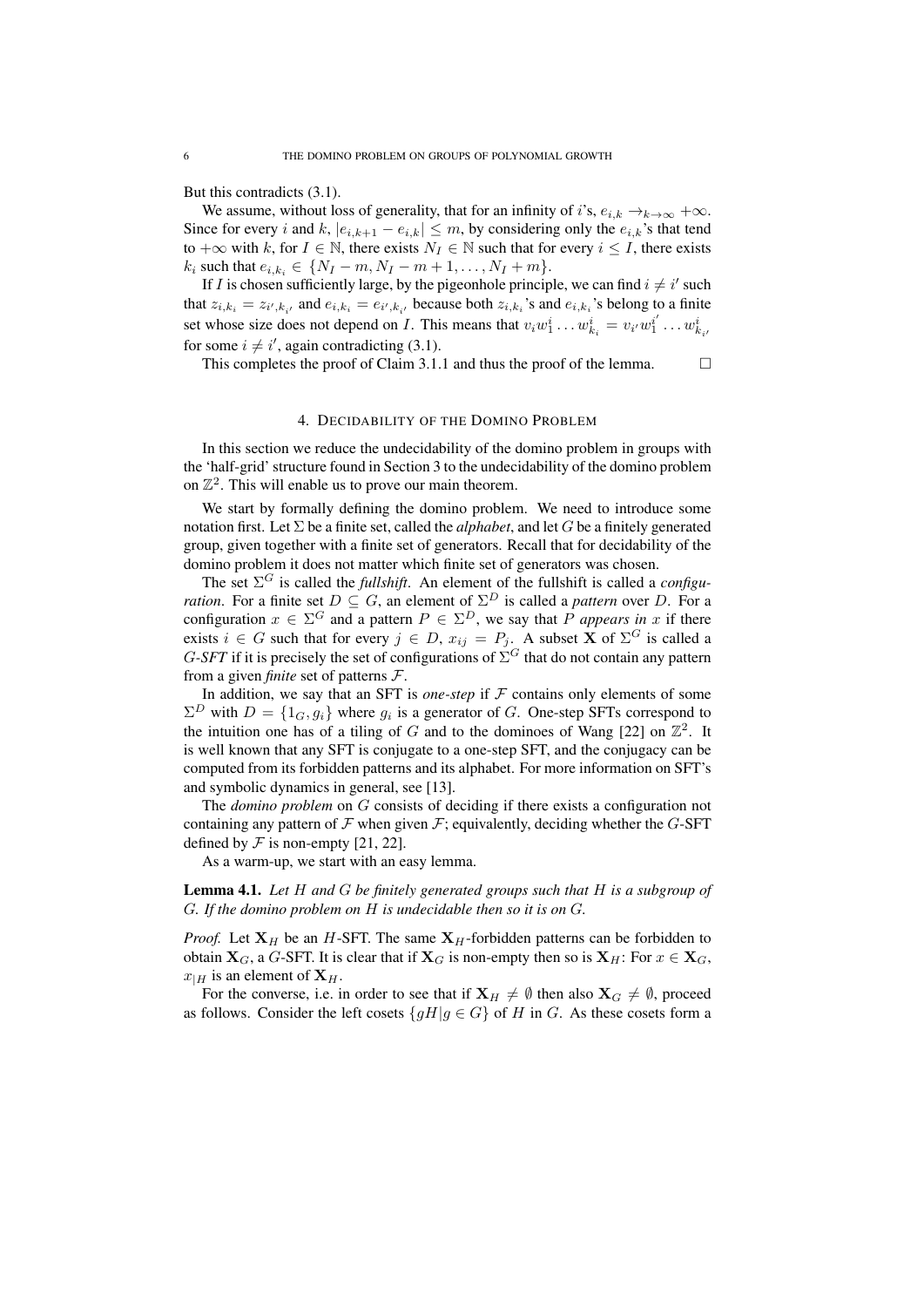But this contradicts (3.1).

We assume, without loss of generality, that for an infinity of *i*'s,  $e_{i,k} \rightarrow_{k \rightarrow \infty} +\infty$ . Since for every *i* and *k*,  $|e_{i,k+1} - e_{i,k}| \leq m$ , by considering only the  $e_{i,k}$ 's that tend to  $+\infty$  with *k*, for *I* ∈ N, there exists  $N_I$  ∈ N such that for every *i* ≤ *I*, there exists  $k_i$  such that  $e_{i,k_i} \in \{N_I - m, N_I - m + 1, \ldots, N_I + m\}.$ 

If *I* is chosen sufficiently large, by the pigeonhole principle, we can find  $i \neq i'$  such that  $z_{i,k_i} = z_{i',k_{i'}}$  and  $e_{i,k_i} = e_{i',k_{i'}}$  because both  $z_{i,k_i}$ 's and  $e_{i,k_i}$ 's belong to a finite set whose size does not depend on *I*. This means that  $v_i w_1^i \dots w_{k_i}^i = v_{i'} w_1^{i'} \dots w_{k_i}^i$ for some  $i \neq i'$ , again contradicting (3.1).

This completes the proof of Claim 3.1.1 and thus the proof of the lemma.  $\Box$ 

## 4. DECIDABILITY OF THE DOMINO PROBLEM

In this section we reduce the undecidability of the domino problem in groups with the 'half-grid' structure found in Section 3 to the undecidability of the domino problem on  $\mathbb{Z}^2$ . This will enable us to prove our main theorem.

We start by formally defining the domino problem. We need to introduce some notation first. Let  $\Sigma$  be a finite set, called the *alphabet*, and let *G* be a finitely generated group, given together with a finite set of generators. Recall that for decidability of the domino problem it does not matter which finite set of generators was chosen.

The set  $\Sigma^G$  is called the *fullshift*. An element of the fullshift is called a *configuration*. For a finite set  $D \subseteq G$ , an element of  $\Sigma^D$  is called a *pattern* over *D*. For a configuration  $x \in \Sigma^G$  and a pattern  $P \in \Sigma^D$ , we say that *P appears in x* if there exists  $i \in G$  such that for every  $j \in D$ ,  $x_{ij} = P_j$ . A subset **X** of  $\Sigma^G$  is called a *G*-*SFT* if it is precisely the set of configurations of  $\Sigma$ <sup>*G*</sup> that do not contain any pattern from a given *finite* set of patterns *F*.

In addition, we say that an SFT is *one-step* if  $F$  contains only elements of some  $\Sigma^D$  with  $D = \{1_G, g_i\}$  where  $g_i$  is a generator of *G*. One-step SFTs correspond to the intuition one has of a tiling of  $G$  and to the dominoes of Wang [22] on  $\mathbb{Z}^2$ . It is well known that any SFT is conjugate to a one-step SFT, and the conjugacy can be computed from its forbidden patterns and its alphabet. For more information on SFT's and symbolic dynamics in general, see [13].

The *domino problem* on *G* consists of deciding if there exists a configuration not containing any pattern of  $F$  when given  $F$ ; equivalently, deciding whether the *G*-SFT defined by  $\mathcal F$  is non-empty [21, 22].

As a warm-up, we start with an easy lemma.

Lemma 4.1. *Let H and G be finitely generated groups such that H is a subgroup of G. If the domino problem on H is undecidable then so it is on G.*

*Proof.* Let  $X_H$  be an *H*-SFT. The same  $X_H$ -forbidden patterns can be forbidden to obtain **X**<sub>*G*</sub>, a *G*-SFT. It is clear that if **X**<sub>*G*</sub> is non-empty then so is **X**<sub>*H*</sub>: For  $x \in \mathbf{X}_G$ ,  $x_{H}$  is an element of  $X_{H}$ .

For the converse, i.e. in order to see that if  $X_H \neq \emptyset$  then also  $X_G \neq \emptyset$ , proceed as follows. Consider the left cosets  ${gH|g \in G}$  of *H* in *G*. As these cosets form a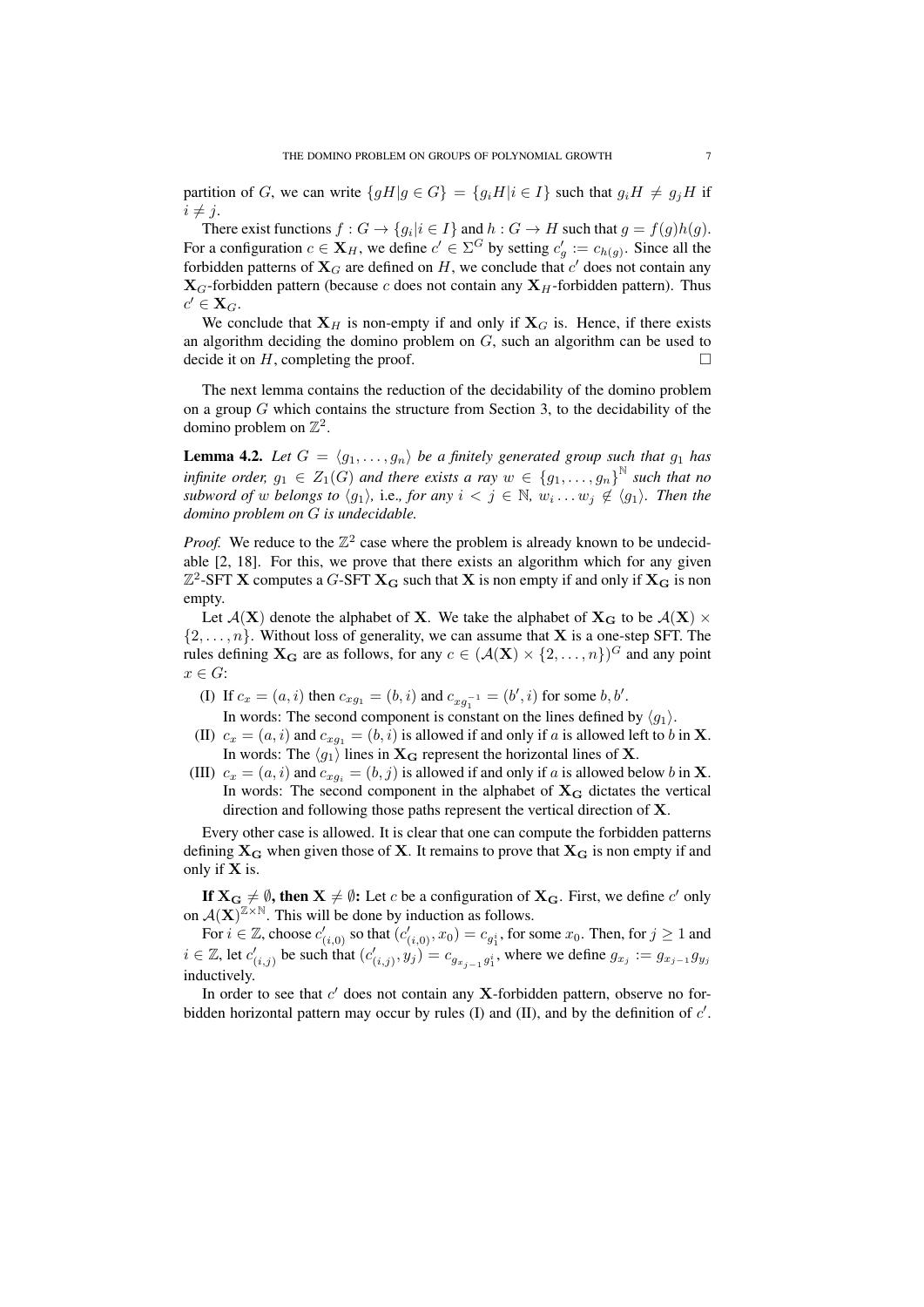partition of G, we can write  $\{gH|g \in G\} = \{g_iH|i \in I\}$  such that  $g_iH \neq g_jH$  if  $i \neq j$ .

There exist functions  $f: G \to \{g_i | i \in I\}$  and  $h: G \to H$  such that  $g = f(g)h(g)$ . For a configuration  $c \in \mathbf{X}_H$ , we define  $c' \in \Sigma^G$  by setting  $c'_g := c_{h(g)}$ . Since all the forbidden patterns of  $\mathbf{X}_G$  are defined on  $H$ , we conclude that  $c'$  does not contain any  $\mathbf{X}_G$ -forbidden pattern (because *c* does not contain any  $\mathbf{X}_H$ -forbidden pattern). Thus  $c' \in \mathbf{X}_G$ .

We conclude that  $X_H$  is non-empty if and only if  $X_G$  is. Hence, if there exists an algorithm deciding the domino problem on *G*, such an algorithm can be used to decide it on  $H$ , completing the proof.  $\Box$ 

The next lemma contains the reduction of the decidability of the domino problem on a group *G* which contains the structure from Section 3, to the decidability of the domino problem on  $\mathbb{Z}^2$ .

**Lemma 4.2.** Let  $G = \langle g_1, \ldots, g_n \rangle$  be a finitely generated group such that  $g_1$  has *infinite order,*  $g_1 \in Z_1(G)$  *and there exists a ray*  $w \in \{g_1, \ldots, g_n\}^{\mathbb{N}}$  *such that no subword of w belongs to*  $\langle g_1 \rangle$ , i.e., *for any*  $i < j \in \mathbb{N}$ ,  $w_i \ldots w_j \notin \langle g_1 \rangle$ . Then the *domino problem on G is undecidable.*

*Proof.* We reduce to the  $\mathbb{Z}^2$  case where the problem is already known to be undecidable [2, 18]. For this, we prove that there exists an algorithm which for any given  $\mathbb{Z}^2$ -SFT **X** computes a *G*-SFT  $\mathbf{X_G}$  such that **X** is non empty if and only if  $\mathbf{X_G}$  is non empty.

Let  $\mathcal{A}(\mathbf{X})$  denote the alphabet of **X**. We take the alphabet of  $\mathbf{X}_{\mathbf{G}}$  to be  $\mathcal{A}(\mathbf{X}) \times$  $\{2, \ldots, n\}$ . Without loss of generality, we can assume that **X** is a one-step SFT. The rules defining  $X_G$  are as follows, for any  $c \in (\mathcal{A}(X) \times \{2, ..., n\})^G$  and any point *x ∈ G*:

(I) If  $c_x = (a, i)$  then  $c_{xg_1} = (b, i)$  and  $c_{xg_1^{-1}} = (b', i)$  for some *b*, *b'*.

In words: The second component is constant on the lines defined by  $\langle g_1 \rangle$ .

- (II)  $c_x = (a, i)$  and  $c_{xa_1} = (b, i)$  is allowed if and only if *a* is allowed left to *b* in **X**. In words: The  $\langle g_1 \rangle$  lines in  $X_G$  represent the horizontal lines of X.
- (III)  $c_x = (a, i)$  and  $c_{xg_i} = (b, j)$  is allowed if and only if *a* is allowed below *b* in **X**. In words: The second component in the alphabet of  $X_G$  dictates the vertical direction and following those paths represent the vertical direction of **X**.

Every other case is allowed. It is clear that one can compute the forbidden patterns defining  $X_G$  when given those of **X**. It remains to prove that  $X_G$  is non empty if and only if **X** is.

If  $X_G \neq \emptyset$ , then  $X \neq \emptyset$ : Let *c* be a configuration of  $X_G$ . First, we define *c'* only on  $\mathcal{A}(\mathbf{X})^{\mathbb{Z}\times\mathbb{N}}$ . This will be done by induction as follows.

For  $i \in \mathbb{Z}$ , choose  $c'_{(i,0)}$  so that  $(c'_{(i,0)}, x_0) = c_{g_1^i}$ , for some  $x_0$ . Then, for  $j \ge 1$  and  $i \in \mathbb{Z}$ , let  $c'_{(i,j)}$  be such that  $(c'_{(i,j)}, y_j) = c_{g_{x_{j-1}}g_1^i}$ , where we define  $g_{x_j} := g_{x_{j-1}}g_{y_j}$ inductively.

In order to see that *c ′* does not contain any **X**-forbidden pattern, observe no forbidden horizontal pattern may occur by rules (I) and (II), and by the definition of *c ′* .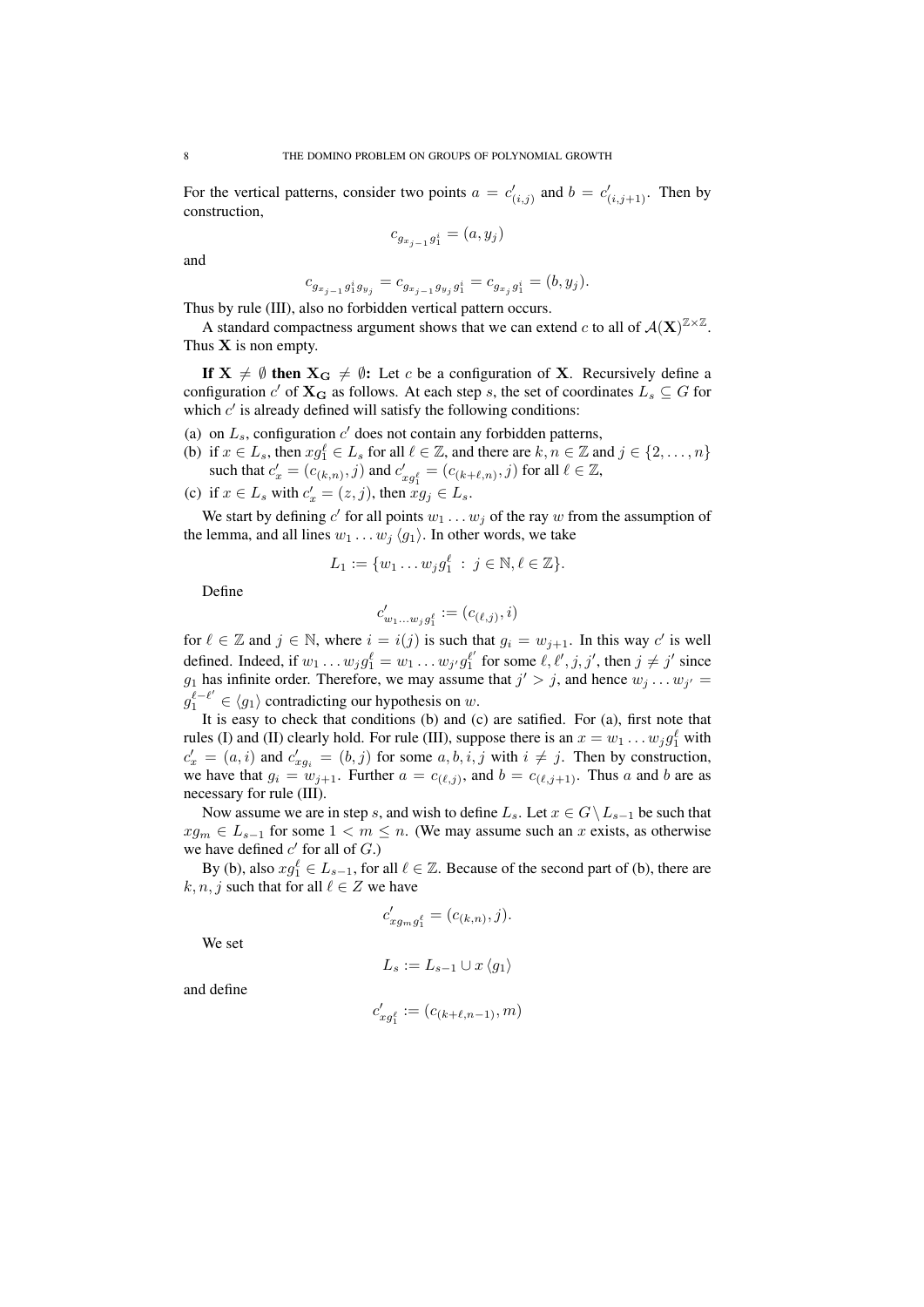For the vertical patterns, consider two points  $a = c'_{(i,j)}$  and  $b = c'_{(i,j+1)}$ . Then by construction,

$$
c_{g_{x_{j-1}}g_1^i} = (a, y_j)
$$

and

 $c_{g_{x_{j-1}}g_1^ig_{y_j}} = c_{g_{x_{j-1}}g_{y_j}g_1^i} = c_{g_{x_j}g_1^i} = (b, y_j).$ 

Thus by rule (III), also no forbidden vertical pattern occurs.

A standard compactness argument shows that we can extend *c* to all of  $\mathcal{A}(\mathbf{X})^{\mathbb{Z}\times\mathbb{Z}}$ . Thus **X** is non empty.

If  $X \neq \emptyset$  then  $X_G \neq \emptyset$ : Let *c* be a configuration of X. Recursively define a configuration  $c'$  of  $\mathbf{X_G}$  as follows. At each step *s*, the set of coordinates  $L_s \subseteq G$  for which  $c'$  is already defined will satisfy the following conditions:

- (a) on  $L_s$ , configuration  $c'$  does not contain any forbidden patterns,
- (b) if  $x \in L_s$ , then  $xg_1^{\ell} \in L_s$  for all  $\ell \in \mathbb{Z}$ , and there are  $k, n \in \mathbb{Z}$  and  $j \in \{2, ..., n\}$ such that  $c'_x = (c_{(k,n)}, j)$  and  $c'_{xg_1^{\ell}} = (c_{(k+\ell,n)}, j)$  for all  $\ell \in \mathbb{Z}$ ,
- (c) if  $x \in L_s$  with  $c'_x = (z, j)$ , then  $xg_j \in L_s$ .

We start by defining  $c'$  for all points  $w_1 \ldots w_j$  of the ray  $w$  from the assumption of the lemma, and all lines  $w_1 \ldots w_j \langle q_1 \rangle$ . In other words, we take

$$
L_1 := \{w_1 \dots w_j g_1^{\ell} \; : \; j \in \mathbb{N}, \ell \in \mathbb{Z}\}.
$$

Define

$$
c'_{w_1\dots w_jg_1^\ell}:=(c_{(\ell,j)},i)
$$

for  $\ell \in \mathbb{Z}$  and  $j \in \mathbb{N}$ , where  $i = i(j)$  is such that  $g_i = w_{j+1}$ . In this way  $c'$  is well defined. Indeed, if  $w_1 \dots w_j g_1^{\ell} = w_1 \dots w_{j'} g_1^{\ell'}$  for some  $\ell, \ell', j, j'$ , then  $j \neq j'$  since *g*<sub>1</sub> has infinite order. Therefore, we may assume that  $j' > j$ , and hence  $w_j \dots w_{j'} = j$  $g_1^{\ell - \ell'}$  ∈  $\langle g_1 \rangle$  contradicting our hypothesis on *w*.

It is easy to check that conditions (b) and (c) are satified. For (a), first note that rules (I) and (II) clearly hold. For rule (III), suppose there is an  $x = w_1 \dots w_j g_1^{\ell}$  with  $c'_{x} = (a, i)$  and  $c'_{xg_i} = (b, j)$  for some  $a, b, i, j$  with  $i \neq j$ . Then by construction, we have that  $g_i = w_{j+1}$ . Further  $a = c_{(\ell,j)}$ , and  $b = c_{(\ell,j+1)}$ . Thus a and b are as necessary for rule (III).

Now assume we are in step *s*, and wish to define  $L_s$ . Let  $x \in G \setminus L_{s-1}$  be such that  $xq_m \in L_{s-1}$  for some  $1 \lt m \lt n$ . (We may assume such an *x* exists, as otherwise we have defined  $c'$  for all of  $G$ .)

By (b), also  $xg_1^{\ell} \in L_{s-1}$ , for all  $\ell \in \mathbb{Z}$ . Because of the second part of (b), there are  $k, n, j$  such that for all  $\ell \in \mathbb{Z}$  we have

$$
c'_{xg_m g_1^{\ell}} = (c_{(k,n)}, j).
$$

We set

$$
L_s := L_{s-1} \cup x \langle g_1 \rangle
$$

and define

$$
c'_{xg_1^{\ell}} := (c_{(k+\ell,n-1)}, m)
$$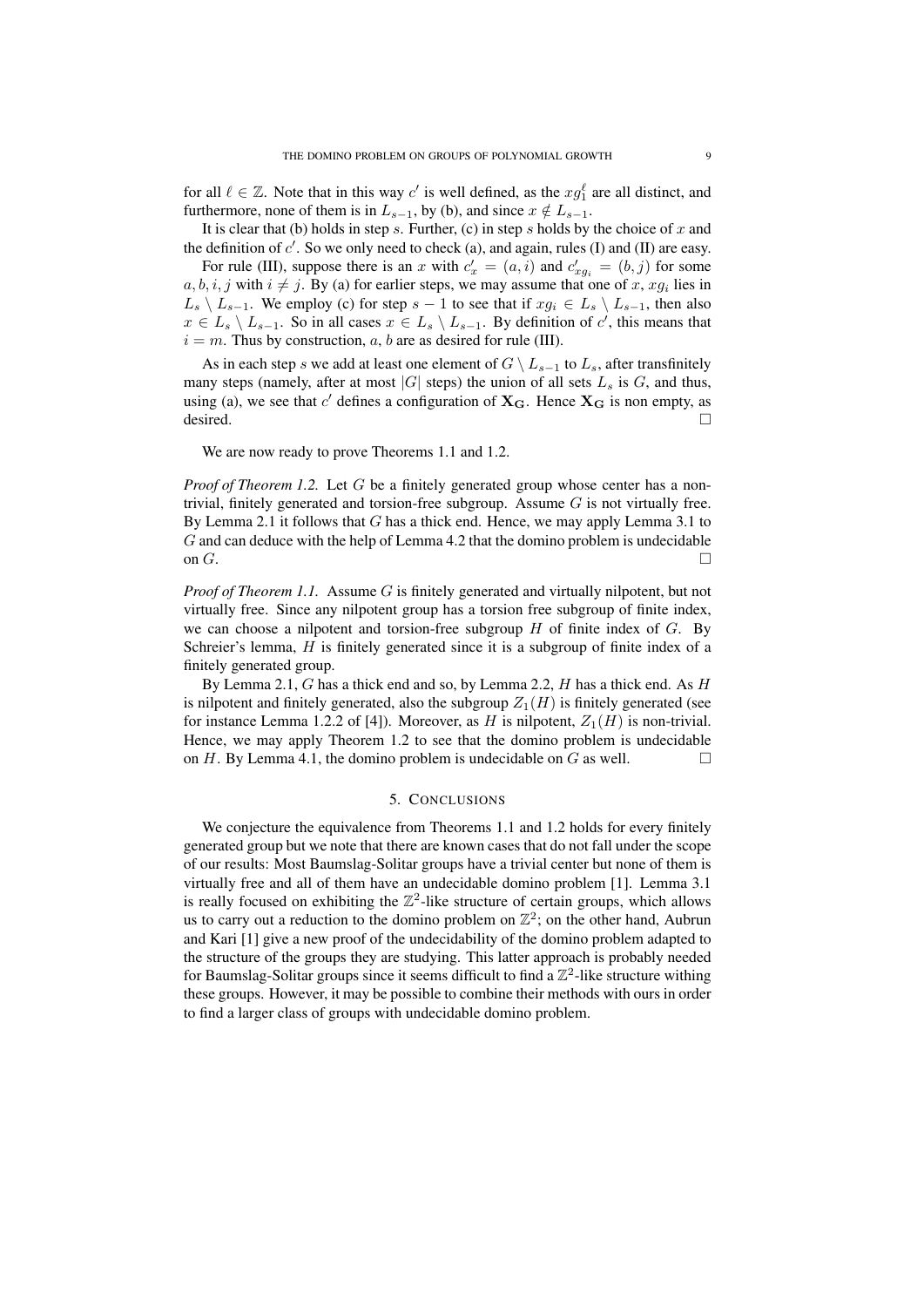for all  $\ell \in \mathbb{Z}$ . Note that in this way *c'* is well defined, as the  $xg_1^{\ell}$  are all distinct, and furthermore, none of them is in  $L_{s-1}$ , by (b), and since  $x \notin L_{s-1}$ .

It is clear that (b) holds in step *s*. Further, (c) in step *s* holds by the choice of *x* and the definition of *c ′* . So we only need to check (a), and again, rules (I) and (II) are easy.

For rule (III), suppose there is an *x* with  $c'_x = (a, i)$  and  $c'_{xg_i} = (b, j)$  for some  $a, b, i, j$  with  $i \neq j$ . By (a) for earlier steps, we may assume that one of *x*,  $xg_i$  lies in  $L_s \setminus L_{s-1}$ . We employ (c) for step  $s-1$  to see that if  $xg_i \in L_s \setminus L_{s-1}$ , then also  $x \in L_s \setminus L_{s-1}$ . So in all cases  $x \in L_s \setminus L_{s-1}$ . By definition of *c*<sup>'</sup>, this means that  $i = m$ . Thus by construction, *a*, *b* are as desired for rule (III).

As in each step *s* we add at least one element of  $G \setminus L_{s-1}$  to  $L_s$ , after transfinitely many steps (namely, after at most  $|G|$  steps) the union of all sets  $L_s$  is  $G$ , and thus, using (a), we see that *c ′* defines a configuration of **XG**. Hence **X<sup>G</sup>** is non empty, as desired.  $\Box$ 

We are now ready to prove Theorems 1.1 and 1.2.

*Proof of Theorem 1.2.* Let *G* be a finitely generated group whose center has a nontrivial, finitely generated and torsion-free subgroup. Assume *G* is not virtually free. By Lemma 2.1 it follows that *G* has a thick end. Hence, we may apply Lemma 3.1 to *G* and can deduce with the help of Lemma 4.2 that the domino problem is undecidable on  $G$ .

*Proof of Theorem 1.1.* Assume *G* is finitely generated and virtually nilpotent, but not virtually free. Since any nilpotent group has a torsion free subgroup of finite index, we can choose a nilpotent and torsion-free subgroup *H* of finite index of *G*. By Schreier's lemma, *H* is finitely generated since it is a subgroup of finite index of a finitely generated group.

By Lemma 2.1, *G* has a thick end and so, by Lemma 2.2, *H* has a thick end. As *H* is nilpotent and finitely generated, also the subgroup  $Z_1(H)$  is finitely generated (see for instance Lemma 1.2.2 of [4]). Moreover, as *H* is nilpotent,  $Z_1(H)$  is non-trivial. Hence, we may apply Theorem 1.2 to see that the domino problem is undecidable on  $H$ . By Lemma 4.1, the domino problem is undecidable on  $G$  as well.  $\Box$ 

## 5. CONCLUSIONS

We conjecture the equivalence from Theorems 1.1 and 1.2 holds for every finitely generated group but we note that there are known cases that do not fall under the scope of our results: Most Baumslag-Solitar groups have a trivial center but none of them is virtually free and all of them have an undecidable domino problem [1]. Lemma 3.1 is really focused on exhibiting the  $\mathbb{Z}^2$ -like structure of certain groups, which allows us to carry out a reduction to the domino problem on  $\mathbb{Z}^2$ ; on the other hand, Aubrun and Kari [1] give a new proof of the undecidability of the domino problem adapted to the structure of the groups they are studying. This latter approach is probably needed for Baumslag-Solitar groups since it seems difficult to find a  $\mathbb{Z}^2$ -like structure withing these groups. However, it may be possible to combine their methods with ours in order to find a larger class of groups with undecidable domino problem.